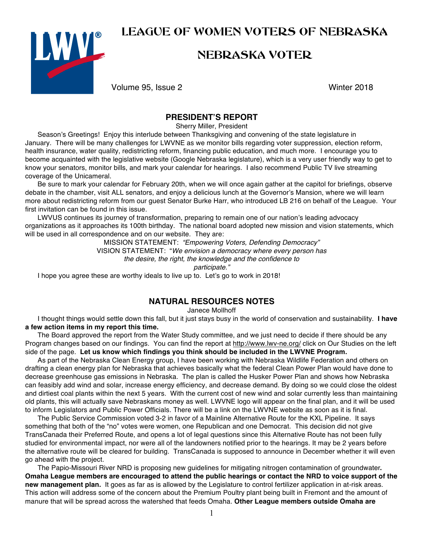# LEAGUE OF WOMEN VOTERS OF NEBRASKA



# NEBRASKA VOTER

Volume 95, Issue 2 Winter 2018

#### **PRESIDENT'S REPORT**

Sherry Miller, President

Season's Greetings! Enjoy this interlude between Thanksgiving and convening of the state legislature in January. There will be many challenges for LWVNE as we monitor bills regarding voter suppression, election reform, health insurance, water quality, redistricting reform, financing public education, and much more. I encourage you to become acquainted with the legislative website (Google Nebraska legislature), which is a very user friendly way to get to know your senators, monitor bills, and mark your calendar for hearings. I also recommend Public TV live streaming coverage of the Unicameral.

Be sure to mark your calendar for February 20th, when we will once again gather at the capitol for briefings, observe debate in the chamber, visit ALL senators, and enjoy a delicious lunch at the Governor's Mansion, where we will learn more about redistricting reform from our guest Senator Burke Harr, who introduced LB 216 on behalf of the League. Your first invitation can be found in this issue.

LWVUS continues its journey of transformation, preparing to remain one of our nation's leading advocacy organizations as it approaches its 100th birthday. The national board adopted new mission and vision statements, which will be used in all correspondence and on our website. They are:

MISSION STATEMENT: *"Empowering Voters, Defending Democracy"* VISION STATEMENT: "*We envision a democracy where every person has the desire, the right, the knowledge and the confidence to participate."*

I hope you agree these are worthy ideals to live up to. Let's go to work in 2018!

#### **NATURAL RESOURCES NOTES**

Janece Mollhoff

I thought things would settle down this fall, but it just stays busy in the world of conservation and sustainability. **I have a few action items in my report this time.**

The Board approved the report from the Water Study committee, and we just need to decide if there should be any Program changes based on our findings. You can find the report at http://www.lwv-ne.org/ click on Our Studies on the left side of the page. **Let us know which findings you think should be included in the LWVNE Program.** 

As part of the Nebraska Clean Energy group, I have been working with Nebraska Wildlife Federation and others on drafting a clean energy plan for Nebraska that achieves basically what the federal Clean Power Plan would have done to decrease greenhouse gas emissions in Nebraska. The plan is called the Husker Power Plan and shows how Nebraska can feasibly add wind and solar, increase energy efficiency, and decrease demand. By doing so we could close the oldest and dirtiest coal plants within the next 5 years. With the current cost of new wind and solar currently less than maintaining old plants, this will actually save Nebraskans money as well. LWVNE logo will appear on the final plan, and it will be used to inform Legislators and Public Power Officials. There will be a link on the LWVNE website as soon as it is final.

The Public Service Commission voted 3-2 in favor of a Mainline Alternative Route for the KXL Pipeline. It says something that both of the "no" votes were women, one Republican and one Democrat. This decision did not give TransCanada their Preferred Route, and opens a lot of legal questions since this Alternative Route has not been fully studied for environmental impact, nor were all of the landowners notified prior to the hearings. It may be 2 years before the alternative route will be cleared for building. TransCanada is supposed to announce in December whether it will even go ahead with the project.

The Papio-Missouri River NRD is proposing new guidelines for mitigating nitrogen contamination of groundwater**. Omaha League members are encouraged to attend the public hearings or contact the NRD to voice support of the new management plan.** It goes as far as is allowed by the Legislature to control fertilizer application in at-risk areas. This action will address some of the concern about the Premium Poultry plant being built in Fremont and the amount of manure that will be spread across the watershed that feeds Omaha. **Other League members outside Omaha are**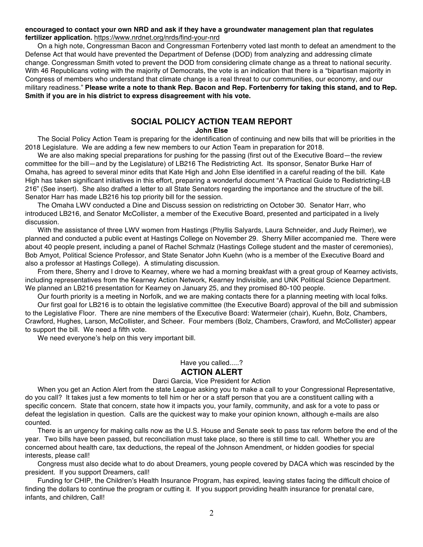#### **encouraged to contact your own NRD and ask if they have a groundwater management plan that regulates fertilizer application.** https://www.nrdnet.org/nrds/find-your-nrd

On a high note, Congressman Bacon and Congressman Fortenberry voted last month to defeat an amendment to the Defense Act that would have prevented the Department of Defense (DOD) from analyzing and addressing climate change. Congressman Smith voted to prevent the DOD from considering climate change as a threat to national security. With 46 Republicans voting with the majority of Democrats, the vote is an indication that there is a "bipartisan majority in Congress of members who understand that climate change is a real threat to our communities, our economy, and our military readiness." **Please write a note to thank Rep. Bacon and Rep. Fortenberry for taking this stand, and to Rep. Smith if you are in his district to express disagreement with his vote.**

#### **SOCIAL POLICY ACTION TEAM REPORT**

#### **John Else**

The Social Policy Action Team is preparing for the identification of continuing and new bills that will be priorities in the 2018 Legislature. We are adding a few new members to our Action Team in preparation for 2018.

We are also making special preparations for pushing for the passing (first out of the Executive Board—the review committee for the bill—and by the Legislature) of LB216 The Redistricting Act. Its sponsor, Senator Burke Harr of Omaha, has agreed to several minor edits that Kate High and John Else identified in a careful reading of the bill. Kate High has taken significant initiatives in this effort, preparing a wonderful document "A Practical Guide to Redistricting-LB 216" (See insert). She also drafted a letter to all State Senators regarding the importance and the structure of the bill. Senator Harr has made LB216 his top priority bill for the session.

The Omaha LWV conducted a Dine and Discuss session on redistricting on October 30. Senator Harr, who introduced LB216, and Senator McCollister, a member of the Executive Board, presented and participated in a lively discussion.

With the assistance of three LWV women from Hastings (Phyllis Salyards, Laura Schneider, and Judy Reimer), we planned and conducted a public event at Hastings College on November 29. Sherry Miller accompanied me. There were about 40 people present, including a panel of Rachel Schmalz (Hastings College student and the master of ceremonies), Bob Amyot, Political Science Professor, and State Senator John Kuehn (who is a member of the Executive Board and also a professor at Hastings College). A stimulating discussion.

From there, Sherry and I drove to Kearney, where we had a morning breakfast with a great group of Kearney activists, including representatives from the Kearney Action Network, Kearney Indivisible, and UNK Political Science Department. We planned an LB216 presentation for Kearney on January 25, and they promised 80-100 people.

Our fourth priority is a meeting in Norfolk, and we are making contacts there for a planning meeting with local folks.

Our first goal for LB216 is to obtain the legislative committee (the Executive Board) approval of the bill and submission to the Legislative Floor. There are nine members of the Executive Board: Watermeier (chair), Kuehn, Bolz, Chambers, Crawford, Hughes, Larson, McCollister, and Scheer. Four members (Bolz, Chambers, Crawford, and McCollister) appear to support the bill. We need a fifth vote.

We need everyone's help on this very important bill.

#### Have you called.....?

#### **ACTION ALERT**

#### Darci Garcia, Vice President for Action

When you get an Action Alert from the state League asking you to make a call to your Congressional Representative, do you call? It takes just a few moments to tell him or her or a staff person that you are a constituent calling with a specific concern. State that concern, state how it impacts you, your family, community, and ask for a vote to pass or defeat the legislation in question. Calls are the quickest way to make your opinion known, although e-mails are also counted.

There is an urgency for making calls now as the U.S. House and Senate seek to pass tax reform before the end of the year. Two bills have been passed, but reconciliation must take place, so there is still time to call. Whether you are concerned about health care, tax deductions, the repeal of the Johnson Amendment, or hidden goodies for special interests, please call!

Congress must also decide what to do about Dreamers, young people covered by DACA which was rescinded by the president. If you support Dreamers, call!

Funding for CHIP, the Children's Health Insurance Program, has expired, leaving states facing the difficult choice of finding the dollars to continue the program or cutting it. If you support providing health insurance for prenatal care, infants, and children, Call!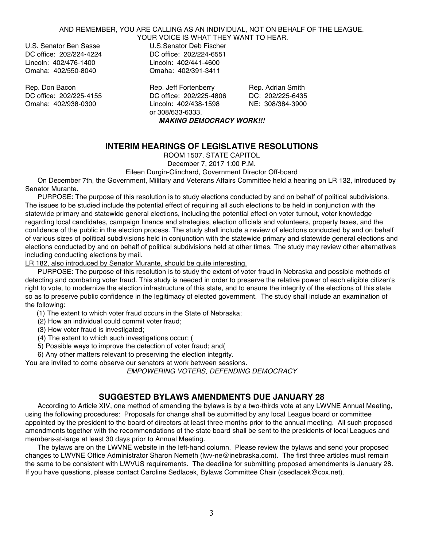#### AND REMEMBER, YOU ARE CALLING AS AN INDIVIDUAL, NOT ON BEHALF OF THE LEAGUE.

Lincoln: 402/476-1400 Lincoln: 402/441-4600 Omaha: 402/550-8040

YOUR VOICE IS WHAT THEY WANT TO HEAR. U.S. Senator Ben Sasse U.S.Senator Deb Fischer DC office: 202/224-6551<br>Lincoln: 402/441-4600

Rep. Don Bacon **Rep. 19th Carlo Provide** Rep. Jeff Fortenberry Rep. Adrian Smith<br>DC office: 202/225-4155 **DC** office: 202/225-4806 **DC: 202/225-6435** DC office: 202/225-4155 DC office: 202/225-4806<br>Omaha: 402/938-0300 Lincoln: 402/438-1598 Omaha: 402/938-0300 Lincoln: 402/438-1598 NE: 308/384-3900 or 308/633-6333. *MAKING DEMOCRACY WORK!!!*

#### **INTERIM HEARINGS OF LEGISLATIVE RESOLUTIONS**

ROOM 1507, STATE CAPITOL

December 7, 2017 1:00 P.M.

Eileen Durgin-Clinchard, Government Director Off-board

On December 7th, the Government, Military and Veterans Affairs Committee held a hearing on LR 132, introduced by Senator Murante.

PURPOSE: The purpose of this resolution is to study elections conducted by and on behalf of political subdivisions. The issues to be studied include the potential effect of requiring all such elections to be held in conjunction with the statewide primary and statewide general elections, including the potential effect on voter turnout, voter knowledge regarding local candidates, campaign finance and strategies, election officials and volunteers, property taxes, and the confidence of the public in the election process. The study shall include a review of elections conducted by and on behalf of various sizes of political subdivisions held in conjunction with the statewide primary and statewide general elections and elections conducted by and on behalf of political subdivisions held at other times. The study may review other alternatives including conducting elections by mail.

LR 182, also introduced by Senator Murante, should be quite interesting.

PURPOSE: The purpose of this resolution is to study the extent of voter fraud in Nebraska and possible methods of detecting and combating voter fraud. This study is needed in order to preserve the relative power of each eligible citizen's right to vote, to modernize the election infrastructure of this state, and to ensure the integrity of the elections of this state so as to preserve public confidence in the legitimacy of elected government. The study shall include an examination of the following:

(1) The extent to which voter fraud occurs in the State of Nebraska;

- (2) How an individual could commit voter fraud;
- (3) How voter fraud is investigated;
- (4) The extent to which such investigations occur; (
- 5) Possible ways to improve the detection of voter fraud; and(
- 6) Any other matters relevant to preserving the election integrity.

You are invited to come observe our senators at work between sessions. *EMPOWERING VOTERS, DEFENDING DEMOCRACY*

#### **SUGGESTED BYLAWS AMENDMENTS DUE JANUARY 28**

According to Article XIV, one method of amending the bylaws is by a two-thirds vote at any LWVNE Annual Meeting, using the following procedures: Proposals for change shall be submitted by any local League board or committee appointed by the president to the board of directors at least three months prior to the annual meeting. All such proposed amendments together with the recommendations of the state board shall be sent to the presidents of local Leagues and members-at-large at least 30 days prior to Annual Meeting.

The bylaws are on the LWVNE website in the left-hand column. Please review the bylaws and send your proposed changes to LWVNE Office Administrator Sharon Nemeth (lwv-ne@inebraska.com). The first three articles must remain the same to be consistent with LWVUS requirements. The deadline for submitting proposed amendments is January 28. If you have questions, please contact Caroline Sedlacek, Bylaws Committee Chair (csedlacek@cox.net).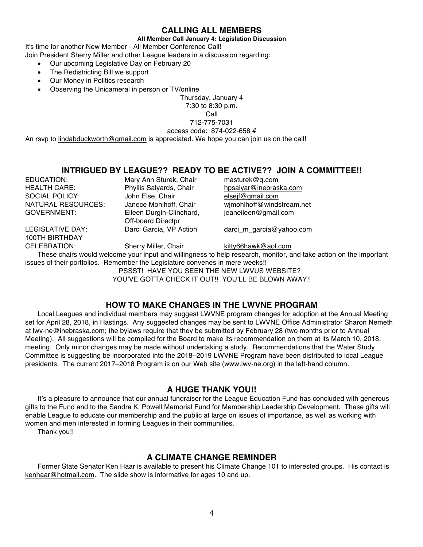#### **CALLING ALL MEMBERS**

#### **All Member Call January 4: Legislation Discussion**

It's time for another New Member - All Member Conference Call!

Join President Sherry Miller and other League leaders in a discussion regarding:

- Our upcoming Legislative Day on February 20
- The Redistricting Bill we support
- Our Money in Politics research
- Observing the Unicameral in person or TV/online

Thursday, January 4

7:30 to 8:30 p.m.

Call

712-775-7031

access code: 874-022-658 #

An rsvp to lindabduckworth@gmail.com is appreciated. We hope you can join us on the call!

# **INTRIGUED BY LEAGUE?? READY TO BE ACTIVE?? JOIN A COMMITTEE!!**<br>Mary Ann Sturek, Chair masturek@q.com<br>masturek@q.com

EDUCATION: Mary Ann Sturek, Chair<br>
HEAI TH CARE: Phyllis Salvards Chair HEALTH CARE: Phyllis Salyards, Chair hpsalyar@inebraska.com<br>
SOCIAL POLICY: John Else, Chair elseif@qmail.com SOCIAL POLICY: John Else, Chair elsejf@gmail.com<br>
NATURAL RESOURCES: Janece Mohlhoff. Chair wimohlhoff@winds

100TH BIRTHDAY

Off-board Directpr<br>Darci Garcia, VP Action

NATURAL RESOURCES: Janece Mohlhoff, Chair wimohlhoff@windstream.net<br>GOVERNMENT: Eileen Durgin-Clinchard, ieaneileen@gmail.com jeaneileen@gmail.com

LEGISLATIVE DAY: Darci Garcia, VP Action darci m garcia@yahoo.com

CELEBRATION: Sherry Miller, Chair kitty66hawk@aol.com

These chairs would welcome your input and willingness to help research, monitor, and take action on the important issues of their portfolios. Remember the Legislature convenes in mere weeks!!

PSSST! HAVE YOU SEEN THE NEW LWVUS WEBSITE?

YOU'VE GOTTA CHECK IT OUT!! YOU'LL BE BLOWN AWAY!!

#### **HOW TO MAKE CHANGES IN THE LWVNE PROGRAM**

Local Leagues and individual members may suggest LWVNE program changes for adoption at the Annual Meeting set for April 28, 2018, in Hastings. Any suggested changes may be sent to LWVNE Office Administrator Sharon Nemeth at lwv-ne@inebraska.com; the bylaws require that they be submitted by February 28 (two months prior to Annual Meeting). All suggestions will be compiled for the Board to make its recommendation on them at its March 10, 2018, meeting. Only minor changes may be made without undertaking a study. Recommendations that the Water Study Committee is suggesting be incorporated into the 2018–2019 LWVNE Program have been distributed to local League presidents. The current 2017–2018 Program is on our Web site (www.lwv-ne.org) in the left-hand column.

#### **A HUGE THANK YOU!!**

It's a pleasure to announce that our annual fundraiser for the League Education Fund has concluded with generous gifts to the Fund and to the Sandra K. Powell Memorial Fund for Membership Leadership Development. These gifts will enable League to educate our membership and the public at large on issues of importance, as well as working with women and men interested in forming Leagues in their communities.

Thank you!!

#### **A CLIMATE CHANGE REMINDER**

Former State Senator Ken Haar is available to present his Climate Change 101 to interested groups. His contact is kenhaar@hotmail.com. The slide show is informative for ages 10 and up.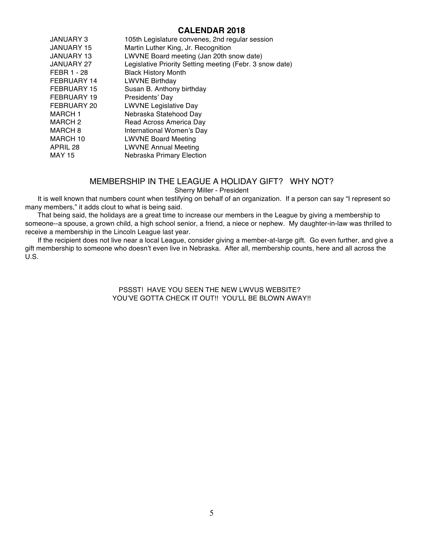#### **CALENDAR 2018**

| JANUARY 3         | 105th Legislature convenes, 2nd regular session          |
|-------------------|----------------------------------------------------------|
| <b>JANUARY 15</b> | Martin Luther King, Jr. Recognition                      |
| <b>JANUARY 13</b> | LWVNE Board meeting (Jan 20th snow date)                 |
| <b>JANUARY 27</b> | Legislative Priority Setting meeting (Febr. 3 snow date) |
| FEBR 1 - 28       | <b>Black History Month</b>                               |
| FEBRUARY 14       | <b>LWVNE Birthday</b>                                    |
| FEBRUARY 15       | Susan B. Anthony birthday                                |
| FEBRUARY 19       | Presidents' Day                                          |
| FEBRUARY 20       | <b>LWVNE Legislative Day</b>                             |
| <b>MARCH 1</b>    | Nebraska Statehood Day                                   |
| MARCH 2           | Read Across America Day                                  |
| <b>MARCH 8</b>    | International Women's Day                                |
| MARCH 10          | <b>LWVNE Board Meeting</b>                               |
| APRIL 28          | <b>LWVNE Annual Meeting</b>                              |
| MAY 15            | Nebraska Primary Election                                |
|                   |                                                          |

#### MEMBERSHIP IN THE LEAGUE A HOLIDAY GIFT? WHY NOT? Sherry Miller - President

It is well known that numbers count when testifying on behalf of an organization. If a person can say "I represent so many members," it adds clout to what is being said.

That being said, the holidays are a great time to increase our members in the League by giving a membership to someone--a spouse, a grown child, a high school senior, a friend, a niece or nephew. My daughter-in-law was thrilled to receive a membership in the Lincoln League last year.

If the recipient does not live near a local League, consider giving a member-at-large gift. Go even further, and give a gift membership to someone who doesn't even live in Nebraska. After all, membership counts, here and all across the U.S.

> PSSST! HAVE YOU SEEN THE NEW LWVUS WEBSITE? YOU'VE GOTTA CHECK IT OUT!! YOU'LL BE BLOWN AWAY!!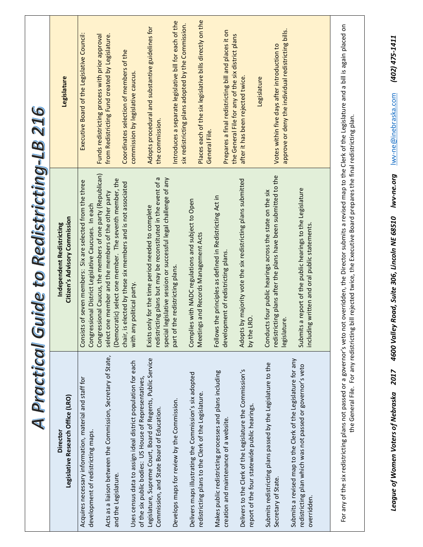|                                                                                                                                            | A Practical Guide to Redistricting-LB 216                                                                                                                                                                                                                                 |                                                                                                                    |
|--------------------------------------------------------------------------------------------------------------------------------------------|---------------------------------------------------------------------------------------------------------------------------------------------------------------------------------------------------------------------------------------------------------------------------|--------------------------------------------------------------------------------------------------------------------|
| Legislative Research Office (LRO)<br>Director                                                                                              | <b>Citizen's Advisory Commission</b><br>Independent Redistricting                                                                                                                                                                                                         | Legislature                                                                                                        |
| Acquires necessary information, material and staff for<br>development of redistricting maps.                                               | Congressional Caucus, the members of one party (Republican)<br>Consists of seven members: Six are selected from the three<br>Congressional District Legislative Caucuses. In each                                                                                         | Executive Board of the Legislative Council:<br>Funds redistricting process with prior approval                     |
| Acts as a liaison between the Commission, Secretary of State,<br>and the Legislature.                                                      | (Democratic) select one member. The seventh member, the<br>chair, is elected by these six members and is not associated<br>select one member and the members of the other party                                                                                           | from Redistricting Fund created by Legislature.<br>Coordinates selection of members of the                         |
| Uses census data to assign ideal district population for each<br>of the six public bodies: US House of Representatives,                    | political party.<br>with any                                                                                                                                                                                                                                              | commission by legislative caucus.                                                                                  |
| Legislature, Supreme Court, Board of Regents, Public Service<br>Commission, and State Board of Education.                                  | redistricting plans but may be reconstituted in the event of a<br>special legislative session or successful legal challenge of any<br>Exists only for the time period needed to complete                                                                                  | Adopts procedural and substantive guidelines for<br>the commission.                                                |
| Develops maps for review by the Commission.                                                                                                | e redistricting plans.<br>part of th                                                                                                                                                                                                                                      | Introduces a separate legislative bill for each of the<br>six redistricting plans adopted by the Commission.       |
| Delivers maps illustrating the Commission's six adopted<br>redistricting plans to the Clerk of the Legislature.                            | Complies with NADC regulations and subject to Open<br>Meetings and Records Management Acts                                                                                                                                                                                | Places each of the six legislative bills directly on the<br>General File                                           |
| Makes public redistricting processes and plans including<br>creation and maintenance of a website.                                         | Follows the principles as defined in Redistricting Act in<br>development of redistricting plans.                                                                                                                                                                          | Prepares a final redistricting bill and places it on<br>the General File for any of the six district plans         |
| Delivers to the Clerk of the Legislature the Commission's<br>report of the four statewide public hearings.                                 | Adopts by majority vote the six redistricting plans submitted<br>by the LRO.                                                                                                                                                                                              | after it has been rejected twice.                                                                                  |
| Submits redistricting plans passed by the Legislature to the<br>Secretary of State.                                                        | redistricting plans after the plans have been submitted to the<br>Conducts four public hearings across the state on the six<br>$\omega$<br>legislatur                                                                                                                     | approve or deny the individual redistricting bills.<br>Votes within five days after introduction to<br>Legislature |
| Submits a revised map to the Clerk of the Legislature for any<br>redistricting plan which was not passed or governor's veto<br>overridden. | Submits a report of the public hearings to the Legislature<br>including written and oral public statements.                                                                                                                                                               |                                                                                                                    |
| the General File. For any redistricting b                                                                                                  | For any of the six redistricting plans not passed or a governor's veto not overridden, the Director submits a revised map to the Clerk of the Legislature and a bill is again placed on<br>ill rejected twice, the Executive Board prepares the final redistricting plan. |                                                                                                                    |
| <b>Z017</b><br>League of Women Voters of Nebraska                                                                                          | lwv-ne.org<br>Road, Suite 306, Lincoln NE 68510<br>4600 Valley                                                                                                                                                                                                            | (402) 475-1411<br>lwv-ne@inebraska.com                                                                             |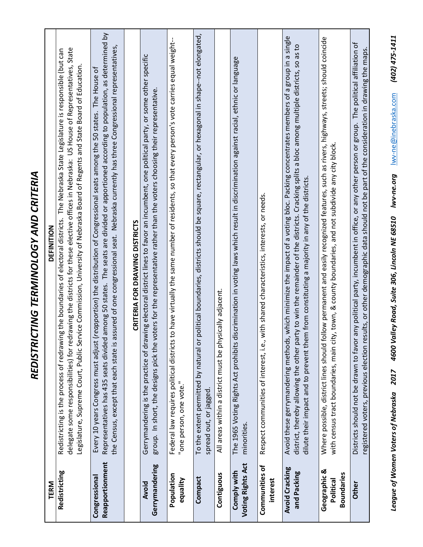| TERM                                           | DEFINITION                                                                                                                                                                                                                                                                                                                                                                                                            |
|------------------------------------------------|-----------------------------------------------------------------------------------------------------------------------------------------------------------------------------------------------------------------------------------------------------------------------------------------------------------------------------------------------------------------------------------------------------------------------|
| Redistricting                                  | delegate some responsibilities) for redrawing the districts for these elective offices in Nebraska: US House of Representatives, State<br>Redistricting is the process of redrawing the boundaries of electoral districts. The Nebraska State Legislature is responsible (but can<br>rvice Commission, University of Nebraska Board of Regents and State Board of Education.<br>Legislature, Supreme Court, Public Se |
| Reapportionment<br>Congressional               | Representatives has 435 seats divided among 50 states. The seats are divided or apportioned according to population, as determined by<br>assured of one congressional seat. Nebraska currently has three Congressional representatives,<br>(reapportion) the distribution of Congressional seats among the 50 states. The House of<br>Every 10 years Congress must adjust<br>the Census, except that each state is    |
|                                                | CRITERIA FOR DRAWING DISTRICTS                                                                                                                                                                                                                                                                                                                                                                                        |
| Gerrymandering<br>Avoid                        | Gerrymandering is the practice of drawing electoral district lines to favor an incumbent, one political party, or some other specific<br>group. In short, the designs pick the voters for the representative rather than the voters choosing their representative.                                                                                                                                                    |
| Population<br>equality                         | to have virtually the same number of residents, so that every person's vote carries equal weight--<br>Federal law requires political districts<br>"one person, one vote."                                                                                                                                                                                                                                             |
| Compact                                        | To the extent permitted by natural or political boundaries, districts should be square, rectangular, or hexagonal in shape--not elongated,<br>spread out, or jagged.                                                                                                                                                                                                                                                  |
| Contiguous                                     | All areas within a district must be physically adjacent.                                                                                                                                                                                                                                                                                                                                                              |
| <b>Voting Rights Act</b><br>Comply with        | discrimination in voting laws which result in discrimination against racial, ethnic or language<br>The 1965 Voting Rights Act prohibits<br>minorities.                                                                                                                                                                                                                                                                |
| Communities of<br>interest                     | with shared characteristics, interests, or needs.<br>Respect communities of interest, i.e.,                                                                                                                                                                                                                                                                                                                           |
| <b>Avoid Cracking</b><br>and Packing           | Avoid these gerrymandering methods, which minimize the impact of a voting bloc. Packing concentrates members of a group in a single<br>district, thereby allowing the other party to win the remainder of the districts. Cracking splits a bloc among multiple districts, so as to<br>dilute their impact and to prevent them from constituting a majority in any of the districts.                                   |
| Geographic &<br><b>Boundaries</b><br>Political | Where possible, district lines should follow permanent and easily recognized features, such as rivers, highways, streets; should coincide<br>ty, town, & county boundaries, and not subdivide any city block<br>with census tract boundaries, main ci                                                                                                                                                                 |
| Other                                          | Districts should not be drawn to favor any political party, incumbent in office, or any other person or group. The political affiliation of<br>registered voters, previous election results, or other demographic data should not be part of the consideration in drawing the maps.                                                                                                                                   |

*REDISTRICTING TERMINOLOGY AND CRITERIA*

REDISTRICTING TERMINOLOGY AND CRITERIA

*League of Women Voters of Nebraska 2017 4600 Valley Road, Suite 306, Lincoln NE 68510 lwv-ne.org* lwv-ne@inebraska.com *(402) 475-1411*

League of Women Voters of Nebraska 2017 4600 Valley Road, Suite 306, Lincoln NE 68510 Iwv-ne.org Iwv-ne@inebraska.com (402) 475-1411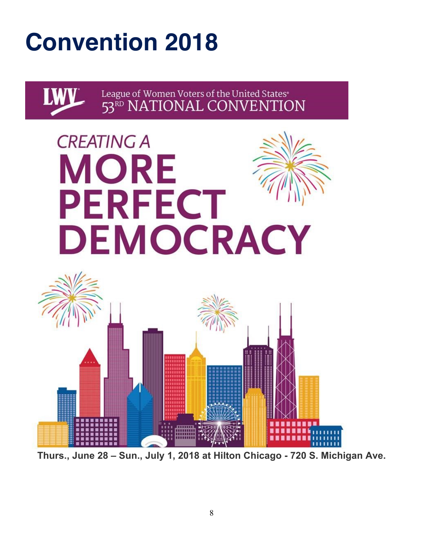# **Convention 2018**



**Thurs., June 28 – Sun., July 1, 2018 at Hilton Chicago - 720 S. Michigan Ave.**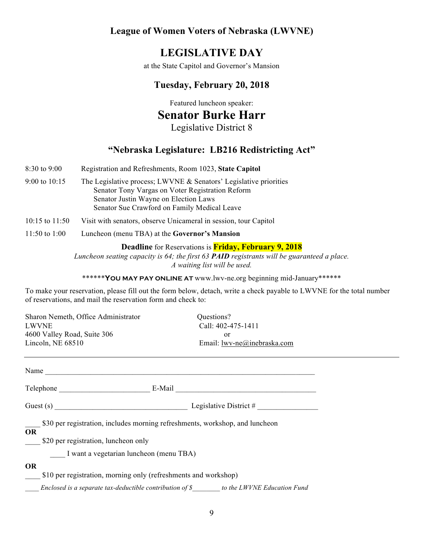#### **League of Women Voters of Nebraska (LWVNE)**

## **LEGISLATIVE DAY**

at the State Capitol and Governor's Mansion

#### **Tuesday, February 20, 2018**

Featured luncheon speaker:

# **Senator Burke Harr**

Legislative District 8

#### **"Nebraska Legislature: LB216 Redistricting Act"**

- 8:30 to 9:00 Registration and Refreshments, Room 1023, **State Capitol** 9:00 to 10:15 The Legislative process; LWVNE & Senators' Legislative priorities Senator Tony Vargas on Voter Registration Reform Senator Justin Wayne on Election Laws Senator Sue Crawford on Family Medical Leave 10:15 to 11:50 Visit with senators, observe Unicameral in session, tour Capitol
- 11:50 to 1:00 Luncheon (menu TBA) at the **Governor's Mansion**

**Deadline** for Reservations is **Friday, February 9, 2018**

*Luncheon seating capacity is 64; the first 63 PAID registrants will be guaranteed a place. A waiting list will be used.*

\*\*\*\*\*\***YOU MAY PAY ONLINE AT** www.lwv-ne.org beginning mid-January\*\*\*\*\*\*

To make your reservation, please fill out the form below, detach, write a check payable to LWVNE for the total number of reservations, and mail the reservation form and check to:

| Sharon Nemeth, Office Administrator<br><b>LWVNE</b><br>4600 Valley Road, Suite 306<br>Lincoln, NE 68510                                                                                                                        | Questions?<br>Call: 402-475-1411<br><sub>or</sub><br>Email: $lww-ne@inebraska.com$ |
|--------------------------------------------------------------------------------------------------------------------------------------------------------------------------------------------------------------------------------|------------------------------------------------------------------------------------|
| Name and the state of the state of the state of the state of the state of the state of the state of the state of the state of the state of the state of the state of the state of the state of the state of the state of the s |                                                                                    |
|                                                                                                                                                                                                                                | E-Mail                                                                             |
|                                                                                                                                                                                                                                | Legislative District $#$                                                           |
| <b>OR</b>                                                                                                                                                                                                                      | \$30 per registration, includes morning refreshments, workshop, and luncheon       |

\$20 per registration, luncheon only

\_\_\_\_ I want a vegetarian luncheon (menu TBA)

#### **OR**

\$10 per registration, morning only (refreshments and workshop)

*\_\_\_\_ Enclosed is a separate tax-deductible contribution of \$\_\_\_\_\_\_\_\_ to the LWVNE Education Fund*